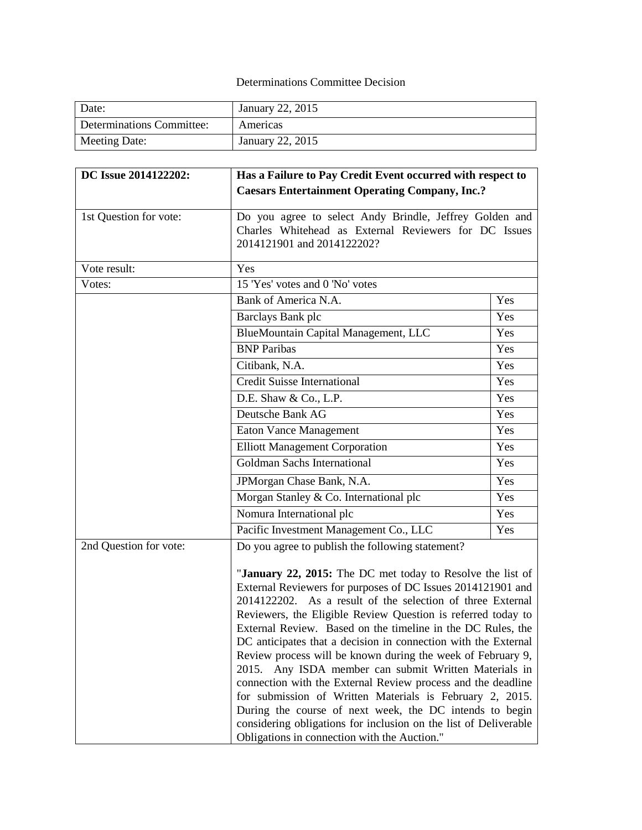## Determinations Committee Decision

| Date:                     | January 22, 2015 |
|---------------------------|------------------|
| Determinations Committee: | Americas         |
| Meeting Date:             | January 22, 2015 |

| DC Issue 2014122202:   | Has a Failure to Pay Credit Event occurred with respect to                                                                                                                                                                                                                                                                                                                                                                                                                                                                                                                                                                                                                                                                                                                                                                                                                         |     |  |
|------------------------|------------------------------------------------------------------------------------------------------------------------------------------------------------------------------------------------------------------------------------------------------------------------------------------------------------------------------------------------------------------------------------------------------------------------------------------------------------------------------------------------------------------------------------------------------------------------------------------------------------------------------------------------------------------------------------------------------------------------------------------------------------------------------------------------------------------------------------------------------------------------------------|-----|--|
|                        | <b>Caesars Entertainment Operating Company, Inc.?</b>                                                                                                                                                                                                                                                                                                                                                                                                                                                                                                                                                                                                                                                                                                                                                                                                                              |     |  |
| 1st Question for vote: | Do you agree to select Andy Brindle, Jeffrey Golden and<br>Charles Whitehead as External Reviewers for DC Issues<br>2014121901 and 2014122202?                                                                                                                                                                                                                                                                                                                                                                                                                                                                                                                                                                                                                                                                                                                                     |     |  |
| Vote result:           | Yes                                                                                                                                                                                                                                                                                                                                                                                                                                                                                                                                                                                                                                                                                                                                                                                                                                                                                |     |  |
| Votes:                 | 15 'Yes' votes and 0 'No' votes                                                                                                                                                                                                                                                                                                                                                                                                                                                                                                                                                                                                                                                                                                                                                                                                                                                    |     |  |
|                        | Bank of America N.A.                                                                                                                                                                                                                                                                                                                                                                                                                                                                                                                                                                                                                                                                                                                                                                                                                                                               | Yes |  |
|                        | Barclays Bank plc                                                                                                                                                                                                                                                                                                                                                                                                                                                                                                                                                                                                                                                                                                                                                                                                                                                                  | Yes |  |
|                        | BlueMountain Capital Management, LLC                                                                                                                                                                                                                                                                                                                                                                                                                                                                                                                                                                                                                                                                                                                                                                                                                                               | Yes |  |
|                        | <b>BNP</b> Paribas                                                                                                                                                                                                                                                                                                                                                                                                                                                                                                                                                                                                                                                                                                                                                                                                                                                                 | Yes |  |
|                        | Citibank, N.A.                                                                                                                                                                                                                                                                                                                                                                                                                                                                                                                                                                                                                                                                                                                                                                                                                                                                     | Yes |  |
|                        | <b>Credit Suisse International</b>                                                                                                                                                                                                                                                                                                                                                                                                                                                                                                                                                                                                                                                                                                                                                                                                                                                 | Yes |  |
|                        | D.E. Shaw & Co., L.P.                                                                                                                                                                                                                                                                                                                                                                                                                                                                                                                                                                                                                                                                                                                                                                                                                                                              | Yes |  |
|                        | Deutsche Bank AG                                                                                                                                                                                                                                                                                                                                                                                                                                                                                                                                                                                                                                                                                                                                                                                                                                                                   | Yes |  |
|                        | <b>Eaton Vance Management</b>                                                                                                                                                                                                                                                                                                                                                                                                                                                                                                                                                                                                                                                                                                                                                                                                                                                      | Yes |  |
|                        | <b>Elliott Management Corporation</b>                                                                                                                                                                                                                                                                                                                                                                                                                                                                                                                                                                                                                                                                                                                                                                                                                                              | Yes |  |
|                        | Goldman Sachs International                                                                                                                                                                                                                                                                                                                                                                                                                                                                                                                                                                                                                                                                                                                                                                                                                                                        | Yes |  |
|                        | JPMorgan Chase Bank, N.A.                                                                                                                                                                                                                                                                                                                                                                                                                                                                                                                                                                                                                                                                                                                                                                                                                                                          | Yes |  |
|                        | Morgan Stanley & Co. International plc                                                                                                                                                                                                                                                                                                                                                                                                                                                                                                                                                                                                                                                                                                                                                                                                                                             | Yes |  |
|                        | Nomura International plc                                                                                                                                                                                                                                                                                                                                                                                                                                                                                                                                                                                                                                                                                                                                                                                                                                                           | Yes |  |
|                        | Pacific Investment Management Co., LLC                                                                                                                                                                                                                                                                                                                                                                                                                                                                                                                                                                                                                                                                                                                                                                                                                                             | Yes |  |
| 2nd Question for vote: | Do you agree to publish the following statement?<br>"January 22, 2015: The DC met today to Resolve the list of<br>External Reviewers for purposes of DC Issues 2014121901 and<br>2014122202. As a result of the selection of three External<br>Reviewers, the Eligible Review Question is referred today to<br>External Review. Based on the timeline in the DC Rules, the<br>DC anticipates that a decision in connection with the External<br>Review process will be known during the week of February 9,<br>Any ISDA member can submit Written Materials in<br>2015.<br>connection with the External Review process and the deadline<br>for submission of Written Materials is February 2, 2015.<br>During the course of next week, the DC intends to begin<br>considering obligations for inclusion on the list of Deliverable<br>Obligations in connection with the Auction." |     |  |
|                        |                                                                                                                                                                                                                                                                                                                                                                                                                                                                                                                                                                                                                                                                                                                                                                                                                                                                                    |     |  |